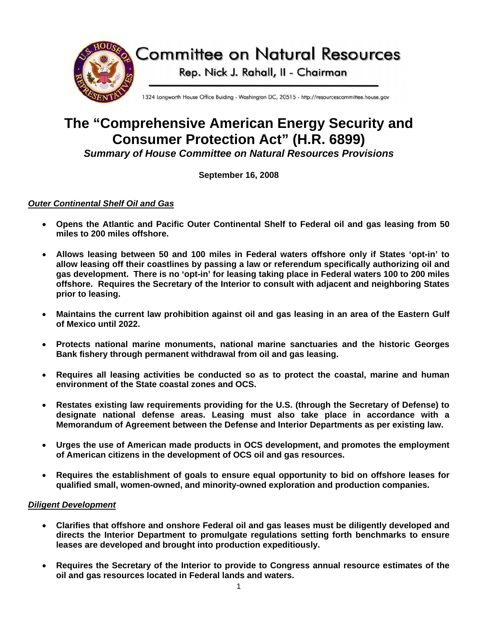

# **The "Comprehensive American Energy Security and Consumer Protection Act" (H.R. 6899)**  *Summary of House Committee on Natural Resources Provisions*

**September 16, 2008** 

# *Outer Continental Shelf Oil and Gas*

- **Opens the Atlantic and Pacific Outer Continental Shelf to Federal oil and gas leasing from 50 miles to 200 miles offshore.**
- **Allows leasing between 50 and 100 miles in Federal waters offshore only if States 'opt-in' to allow leasing off their coastlines by passing a law or referendum specifically authorizing oil and gas development. There is no 'opt-in' for leasing taking place in Federal waters 100 to 200 miles offshore. Requires the Secretary of the Interior to consult with adjacent and neighboring States prior to leasing.**
- **Maintains the current law prohibition against oil and gas leasing in an area of the Eastern Gulf of Mexico until 2022.**
- **Protects national marine monuments, national marine sanctuaries and the historic Georges Bank fishery through permanent withdrawal from oil and gas leasing.**
- **Requires all leasing activities be conducted so as to protect the coastal, marine and human environment of the State coastal zones and OCS.**
- **Restates existing law requirements providing for the U.S. (through the Secretary of Defense) to designate national defense areas. Leasing must also take place in accordance with a Memorandum of Agreement between the Defense and Interior Departments as per existing law.**
- **Urges the use of American made products in OCS development, and promotes the employment of American citizens in the development of OCS oil and gas resources.**
- **Requires the establishment of goals to ensure equal opportunity to bid on offshore leases for qualified small, women-owned, and minority-owned exploration and production companies.**

# *Diligent Development*

- **Clarifies that offshore and onshore Federal oil and gas leases must be diligently developed and directs the Interior Department to promulgate regulations setting forth benchmarks to ensure leases are developed and brought into production expeditiously.**
- **Requires the Secretary of the Interior to provide to Congress annual resource estimates of the oil and gas resources located in Federal lands and waters.**